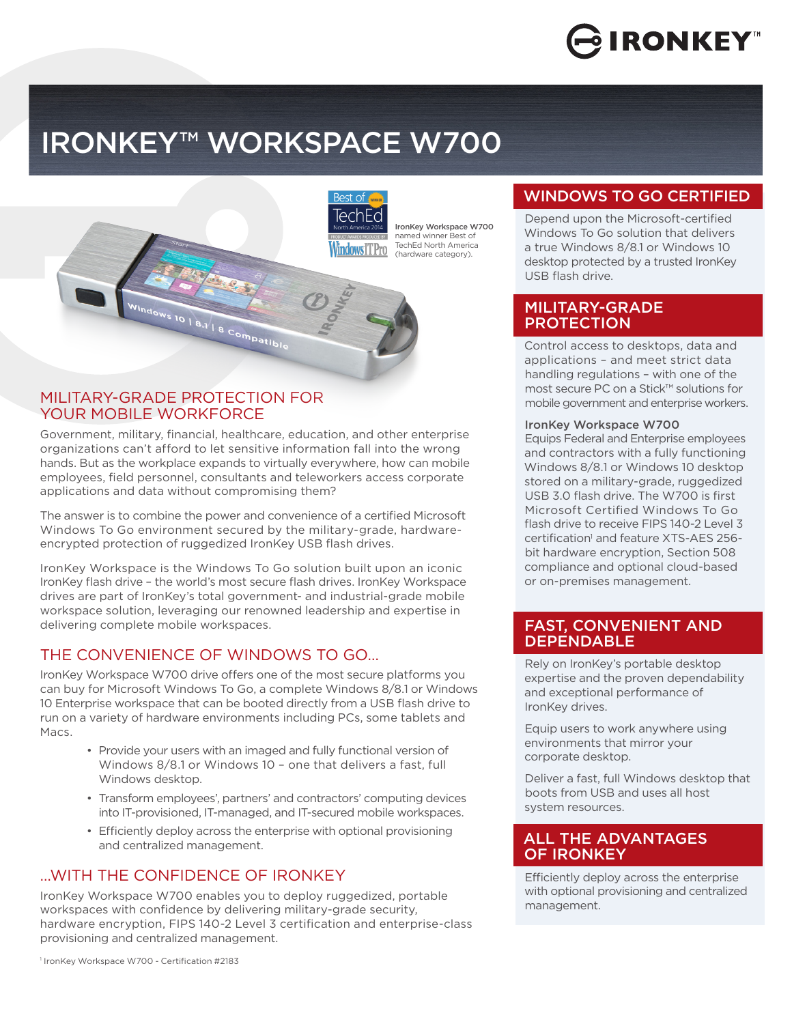# **IRONKEY**

# IRONKEYTM WORKSPACE W700



#### MILITARY-GRADE PROTECTION FOR YOUR MOBILE WORKFORCE

Government, military, financial, healthcare, education, and other enterprise organizations can't afford to let sensitive information fall into the wrong hands. But as the workplace expands to virtually everywhere, how can mobile employees, field personnel, consultants and teleworkers access corporate applications and data without compromising them?

The answer is to combine the power and convenience of a certified Microsoft Windows To Go environment secured by the military-grade, hardwareencrypted protection of ruggedized IronKey USB flash drives.

IronKey Workspace is the Windows To Go solution built upon an iconic IronKey flash drive – the world's most secure flash drives. IronKey Workspace drives are part of IronKey's total government- and industrial-grade mobile workspace solution, leveraging our renowned leadership and expertise in delivering complete mobile workspaces.

## THE CONVENIENCE OF WINDOWS TO GO…

IronKey Workspace W700 drive offers one of the most secure platforms you can buy for Microsoft Windows To Go, a complete Windows 8/8.1 or Windows 10 Enterprise workspace that can be booted directly from a USB flash drive to run on a variety of hardware environments including PCs, some tablets and Macs.

- Provide your users with an imaged and fully functional version of Windows 8/8.1 or Windows 10 – one that delivers a fast, full Windows desktop.
- Transform employees', partners' and contractors' computing devices into IT-provisioned, IT-managed, and IT-secured mobile workspaces.
- Efficiently deploy across the enterprise with optional provisioning and centralized management.

## …WITH THE CONFIDENCE OF IRONKEY

IronKey Workspace W700 enables you to deploy ruggedized, portable workspaces with confidence by delivering military-grade security, hardware encryption, FIPS 140-2 Level 3 certification and enterprise-class provisioning and centralized management.

# WINDOWS TO GO CERTIFIED

Depend upon the Microsoft-certified Windows To Go solution that delivers a true Windows 8/8.1 or Windows 10 desktop protected by a trusted IronKey USB flash drive.

#### MILITARY-GRADE PROTECTION

Control access to desktops, data and applications – and meet strict data handling regulations – with one of the most secure PC on a Stick™ solutions for mobile government and enterprise workers.

#### IronKey Workspace W700

Equips Federal and Enterprise employees and contractors with a fully functioning Windows 8/8.1 or Windows 10 desktop stored on a military-grade, ruggedized USB 3.0 flash drive. The W700 is first Microsoft Certified Windows To Go flash drive to receive FIPS 140-2 Level 3 certification<sup>1</sup> and feature XTS-AES 256bit hardware encryption, Section 508 compliance and optional cloud-based or on-premises management.

#### FAST, CONVENIENT AND **DEPENDABLE**

Rely on IronKey's portable desktop expertise and the proven dependability and exceptional performance of IronKey drives.

Equip users to work anywhere using environments that mirror your corporate desktop.

Deliver a fast, full Windows desktop that boots from USB and uses all host system resources.

#### ALL THE ADVANTAGES OF IRONKEY

Efficiently deploy across the enterprise with optional provisioning and centralized management.